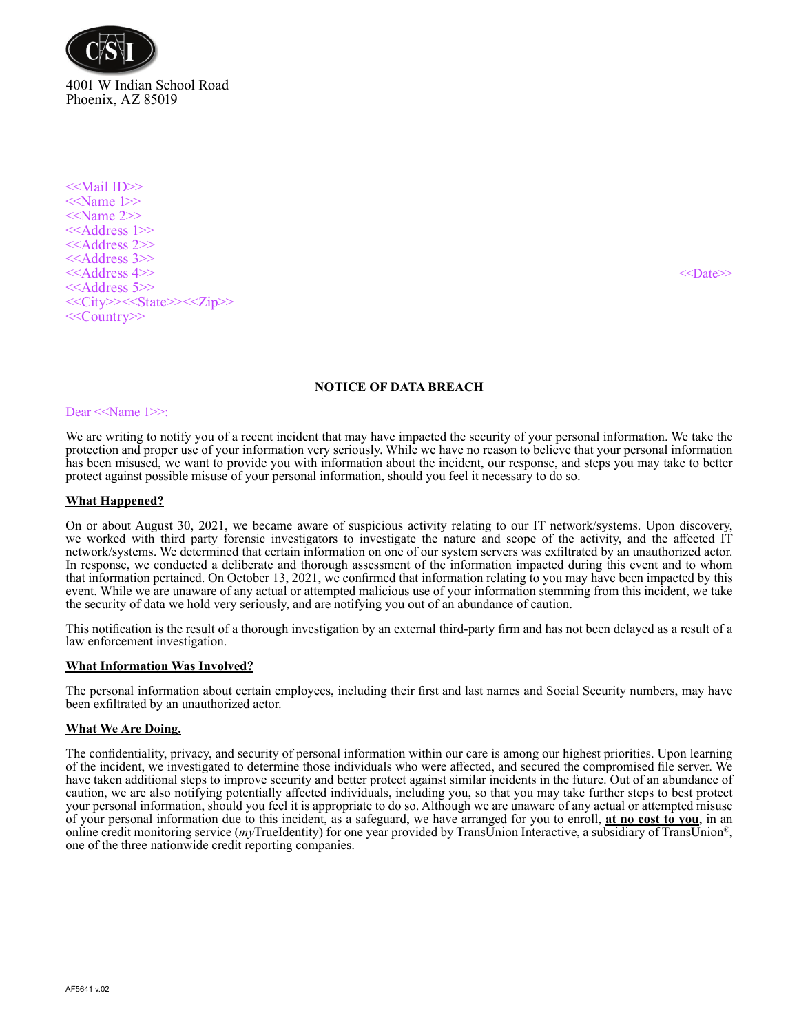

<<Mail ID>> <<Name 1>> <<Name 2>> <<Address 1>> <<Address 2>> <<Address 3>> <<Address 4>> <<Date>> <<Address 5>> <<City>><<State>><<Zip>> <<Country>>

# **NOTICE OF DATA BREACH**

#### Dear <<Name 1>>:

We are writing to notify you of a recent incident that may have impacted the security of your personal information. We take the protection and proper use of your information very seriously. While we have no reason to believe that your personal information has been misused, we want to provide you with information about the incident, our response, and steps you may take to better protect against possible misuse of your personal information, should you feel it necessary to do so.

### **What Happened?**

On or about August 30, 2021, we became aware of suspicious activity relating to our IT network/systems. Upon discovery, we worked with third party forensic investigators to investigate the nature and scope of the activity, and the affected IT network/systems. We determined that certain information on one of our system servers was exfiltrated by an unauthorized actor. In response, we conducted a deliberate and thorough assessment of the information impacted during this event and to whom that information pertained. On October 13, 2021, we confirmed that information relating to you may have been impacted by this event. While we are unaware of any actual or attempted malicious use of your information stemming from this incident, we take the security of data we hold very seriously, and are notifying you out of an abundance of caution.

This notification is the result of a thorough investigation by an external third-party firm and has not been delayed as a result of a law enforcement investigation.

### **What Information Was Involved?**

The personal information about certain employees, including their first and last names and Social Security numbers, may have been exfiltrated by an unauthorized actor.

### **What We Are Doing.**

The confidentiality, privacy, and security of personal information within our care is among our highest priorities. Upon learning of the incident, we investigated to determine those individuals who were affected, and secured the compromised file server. We have taken additional steps to improve security and better protect against similar incidents in the future. Out of an abundance of caution, we are also notifying potentially affected individuals, including you, so that you may take further steps to best protect your personal information, should you feel it is appropriate to do so. Although we are unaware of any actual or attempted misuse of your personal information due to this incident, as a safeguard, we have arranged for you to enroll, **at no cost to you**, in an online credit monitoring service (*my*TrueIdentity) for one year provided by TransUnion Interactive, a subsidiary of TransUnion®, one of the three nationwide credit reporting companies.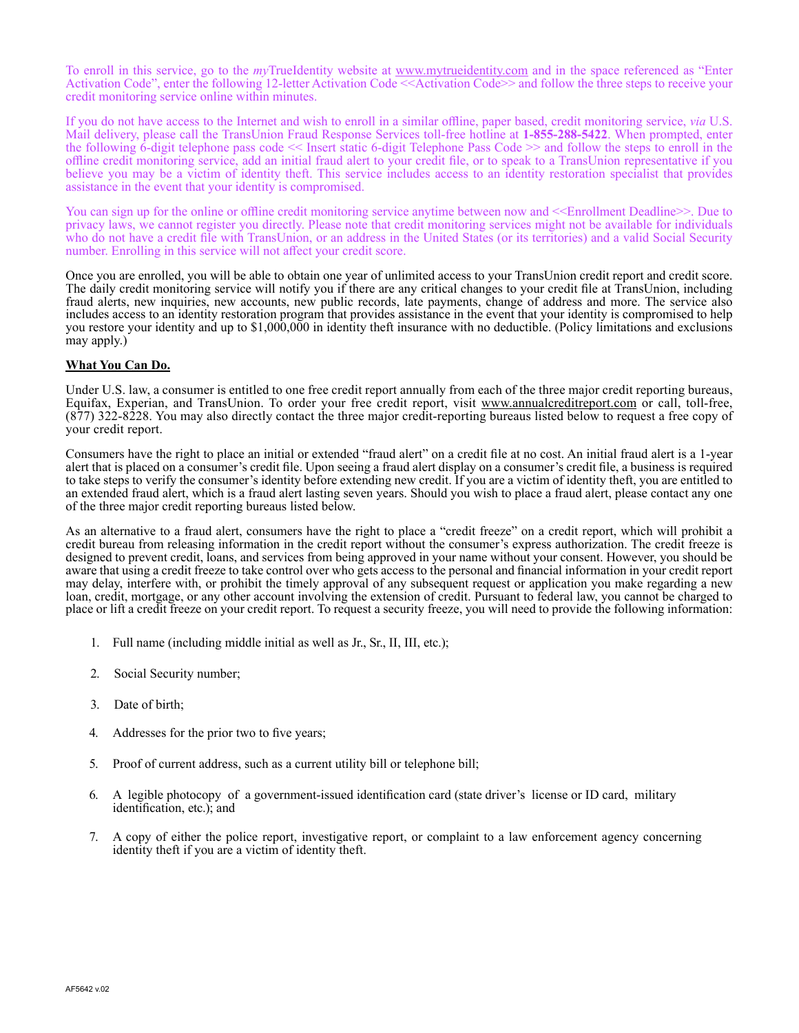To enroll in this service, go to the *my*TrueIdentity website at www.mytrueidentity.com and in the space referenced as "Enter Activation Code", enter the following 12-letter Activation Code <<Activation Code>> and follow the three steps to receive your credit monitoring service online within minutes.

If you do not have access to the Internet and wish to enroll in a similar offline, paper based, credit monitoring service, *via* U.S. Mail delivery, please call the TransUnion Fraud Response Services toll-free hotline at **1-855-288-5422**. When prompted, enter the following 6-digit telephone pass code << Insert static 6-digit Telephone Pass Code >> and follow the steps to enroll in the offline credit monitoring service, add an initial fraud alert to your credit file, or to speak to a TransUnion representative if you believe you may be a victim of identity theft. This service includes access to an identity restoration specialist that provides assistance in the event that your identity is compromised.

You can sign up for the online or offline credit monitoring service anytime between now and <<Enrollment Deadline>>. Due to privacy laws, we cannot register you directly. Please note that credit monitoring services might not be available for individuals who do not have a credit file with TransUnion, or an address in the United States (or its territories) and a valid Social Security number. Enrolling in this service will not affect your credit score.

Once you are enrolled, you will be able to obtain one year of unlimited access to your TransUnion credit report and credit score. The daily credit monitoring service will notify you if there are any critical changes to your credit file at TransUnion, including fraud alerts, new inquiries, new accounts, new public records, late payments, change of address and more. The service also includes access to an identity restoration program that provides assistance in the event that your identity is compromised to help you restore your identity and up to \$1,000,000 in identity theft insurance with no deductible. (Policy limitations and exclusions may apply.)

# **What You Can Do.**

Under U.S. law, a consumer is entitled to one free credit report annually from each of the three major credit reporting bureaus, Equifax, Experian, and TransUnion. To order your free credit report, visit www.annualcreditreport.com or call, toll-free, (877) 322-8228. You may also directly contact the three major credit-reporting bureaus listed below to request a free copy of your credit report.

Consumers have the right to place an initial or extended "fraud alert" on a credit file at no cost. An initial fraud alert is a 1-year alert that is placed on a consumer's credit file. Upon seeing a fraud alert display on a consumer's credit file, a business is required to take steps to verify the consumer's identity before extending new credit. If you are a victim of identity theft, you are entitled to an extended fraud alert, which is a fraud alert lasting seven years. Should you wish to place a fraud alert, please contact any one of the three major credit reporting bureaus listed below.

As an alternative to a fraud alert, consumers have the right to place a "credit freeze" on a credit report, which will prohibit a credit bureau from releasing information in the credit report without the consumer's express authorization. The credit freeze is designed to prevent credit, loans, and services from being approved in your name without your consent. However, you should be aware that using a credit freeze to take control over who gets access to the personal and financial information in your credit report may delay, interfere with, or prohibit the timely approval of any subsequent request or application you make regarding a new loan, credit, mortgage, or any other account involving the extension of credit. Pursuant to federal law, you cannot be charged to place or lift a credit freeze on your credit report. To request a security freeze, you will need to provide the following information:

- 1. Full name (including middle initial as well as Jr., Sr., II, III, etc.);
- 2. Social Security number;
- 3. Date of birth;
- 4. Addresses for the prior two to five years;
- 5. Proof of current address, such as a current utility bill or telephone bill;
- 6. A legible photocopy of a government-issued identification card (state driver's license or ID card, military identification, etc.); and
- 7. A copy of either the police report, investigative report, or complaint to a law enforcement agency concerning identity theft if you are a victim of identity theft.